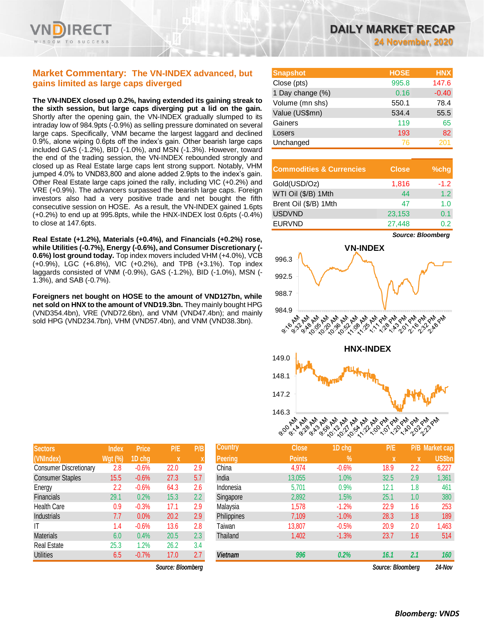

# **Market Commentary: The VN-INDEX advanced, but gains limited as large caps diverged**

**The VN-INDEX closed up 0.2%, having extended its gaining streak to the sixth session, but large caps diverging put a lid on the gain.**  Shortly after the opening gain, the VN-INDEX gradually slumped to its intraday low of 984.9pts (-0.9%) as selling pressure dominated on several large caps. Specifically, VNM became the largest laggard and declined 0.9%, alone wiping 0.6pts off the index's gain. Other bearish large caps included GAS (-1.2%), BID (-1.0%), and MSN (-1.3%). However, toward the end of the trading session, the VN-INDEX rebounded strongly and closed up as Real Estate large caps lent strong support. Notably, VHM jumped 4.0% to VND83,800 and alone added 2.9pts to the index's gain. Other Real Estate large caps joined the rally, including VIC (+0.2%) and VRE (+0.9%). The advancers surpassed the bearish large caps. Foreign investors also had a very positive trade and net bought the fifth consecutive session on HOSE. As a result, the VN-INDEX gained 1.6pts (+0.2%) to end up at 995.8pts, while the HNX-INDEX lost 0.6pts (-0.4%) to close at 147.6pts.

**Real Estate (+1.2%), Materials (+0.4%), and Financials (+0.2%) rose, while Utilities (-0.7%), Energy (-0.6%), and Consumer Discretionary (- 0.6%) lost ground today.** Top index movers included VHM (+4.0%), VCB (+0.9%), LGC (+6.8%), VIC (+0.2%), and TPB (+3.1%). Top index laggards consisted of VNM (-0.9%), GAS (-1.2%), BID (-1.0%), MSN (- 1.3%), and SAB (-0.7%).

**Foreigners net bought on HOSE to the amount of VND127bn, while net sold on HNX to the amount of VND19.3bn.** They mainly bought HPG (VND354.4bn), VRE (VND72.6bn), and VNM (VND47.4bn); and mainly sold HPG (VND234.7bn), VHM (VND57.4bn), and VNM (VND38.3bn).

| <b>DAILY MARKET RECAP</b> |  |  |                          |  |
|---------------------------|--|--|--------------------------|--|
|                           |  |  | <b>24 November, 2020</b> |  |

| <b>Snapshot</b>  | <b>HOSE</b> | <b>HNX</b> |
|------------------|-------------|------------|
| Close (pts)      | 995.8       | 147.6      |
| 1 Day change (%) | 0.16        | $-0.40$    |
| Volume (mn shs)  | 550.1       | 78.4       |
| Value (US\$mn)   | 534.4       | 55.5       |
| Gainers          | 119         | 65         |
| Losers           | 193         | 82         |
| Unchanged        | 76          | 201        |

| <b>Commodities &amp; Currencies</b> | <b>Close</b> | $%$ chq |
|-------------------------------------|--------------|---------|
| Gold(USD/Oz)                        | 1,816        | $-1.2$  |
| WTI Oil (\$/B) 1Mth                 | 44           | 1.2     |
| Brent Oil (\$/B) 1Mth               | 47           | 1.0     |
| <b>USDVND</b>                       | 23,153       | 0.1     |
| <b>EURVND</b>                       | 27.448       | በ 2     |

**V N-INDEX** 996.3 992.5 988.7 984.9<br>RM RM RM لا ما من المريكي المريكي المريكي المريكي المريكي المريكي المريكي المريكي المريكي المريكي المريكي الم<br>المريكي المريكي المريكي المريكي المريكي المريكي المريكي المريكي المريكي المريكي المريكي المريكي المريكي المريك<br>من المريك **9:10:00:00:00** 21.01 **HNX-INDEX** 149.0 148.1 147.2 146.3<br>SO AN AM AM 9: 9: 9: 6: 6: 6: 6: 1: 1: 0: 0: 1: 1: 1: 1: 0: 1: 1:<br>Party Party Party Party Party Party Party Party **PRIVE** 

| <b>Sectors</b>                | <b>Index</b>   | <b>Price</b> | P/E  | P/B |
|-------------------------------|----------------|--------------|------|-----|
| (VNIndex)                     | <b>Wgt (%)</b> | 1D chg       | X    | X   |
| <b>Consumer Discretionary</b> | 2.8            | $-0.6%$      | 22.0 | 2.9 |
| <b>Consumer Staples</b>       | 15.5           | $-0.6%$      | 27.3 | 5.7 |
| Energy                        | 2.2            | $-0.6%$      | 64.3 | 2.6 |
| Financials                    | 29.1           | 0.2%         | 15.3 | 2.2 |
| Health Care                   | 0.9            | $-0.3%$      | 17.1 | 2.9 |
| Industrials                   | 7.7            | 0.0%         | 20.2 | 2.9 |
| ΙT                            | 1.4            | $-0.6%$      | 13.6 | 2.8 |
| <b>Materials</b>              | 6.0            | 0.4%         | 20.5 | 2.3 |
| Real Estate                   | 25.3           | 1.2%         | 26.2 | 3.4 |
| <b>Utilities</b>              | 6.5            | $-0.7%$      | 17.0 | 2.7 |

 $Source: Bloomberg$ 

| <b>Sectors</b>                | <b>Index</b>   | <b>Price</b> | P/E               | P/B           | <b>Country</b>     | <b>Close</b>  | 1D chg  | P/E               | P/B | <b>Market cap</b> |
|-------------------------------|----------------|--------------|-------------------|---------------|--------------------|---------------|---------|-------------------|-----|-------------------|
| (VNIndex)                     | <b>Wgt (%)</b> | 1D chg       | $\mathbf x$       |               | <b>Peering</b>     | <b>Points</b> | $\%$    | X                 | X   | <b>US\$bn</b>     |
| <b>Consumer Discretionary</b> | 2.8            | $-0.6%$      | 22.0              | 2.9           | China              | 4,974         | $-0.6%$ | 18.9              | 2.2 | 6,227             |
| <b>Consumer Staples</b>       | 15.5           | $-0.6%$      | 27.3              | 5.7           | India              | 13,055        | 1.0%    | 32.5              | 2.9 | 1,361             |
| Energy                        | 2.2            | $-0.6%$      | 64.3              | 2.6           | Indonesia          | 5,701         | 0.9%    | 12.1              | 1.8 | 461               |
| Financials                    | 29.1           | 0.2%         | 15.3              | $2.2^{\circ}$ | Singapore          | 2,892         | 1.5%    | 25.1              | 1.0 | 380               |
| Health Care                   | 0.9            | $-0.3%$      | 17.1              | 2.9           | Malaysia           | 1,578         | $-1.2%$ | 22.9              | 1.6 | 253               |
| Industrials                   | 7.7            | 0.0%         | 20.2              | 2.9           | <b>Philippines</b> | 7,109         | $-1.0%$ | 28.3              | 1.8 | 189               |
| ΙT                            | 1.4            | $-0.6%$      | 13.6              | 2.8           | Taiwan             | 13,807        | $-0.5%$ | 20.9              | 2.0 | 1,463             |
| <b>Materials</b>              | 6.0            | 0.4%         | 20.5              | 2.3           | Thailand           | 1,402         | $-1.3%$ | 23.7              | 1.6 | 514               |
| Real Estate                   | 25.3           | $1.2\%$      | 26.2              | 3.4           |                    |               |         |                   |     |                   |
| <b>Utilities</b>              | 6.5            | $-0.7%$      | 17.0              | 2.7           | <b>Vietnam</b>     | 996           | 0.2%    | 16.1              | 2.1 | 160               |
|                               |                |              | Source: Bloomberg |               |                    |               |         | Source: Bloomberg |     | 24-Nov            |

*Source: Bloomberg*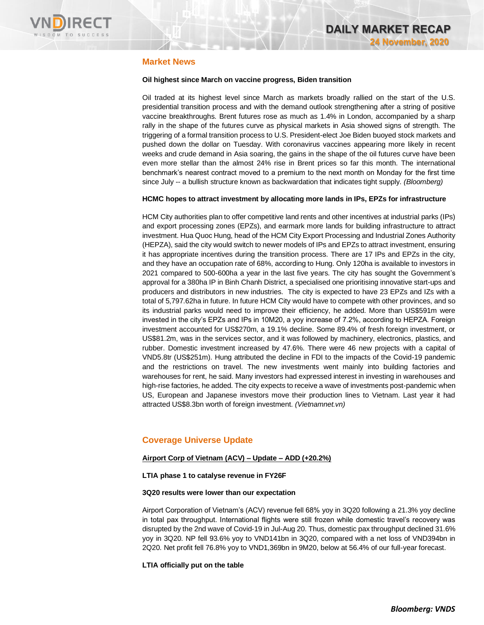

# **Market News**

### **Oil highest since March on vaccine progress, Biden transition**

Oil traded at its highest level since March as markets broadly rallied on the start of the U.S. presidential transition process and with the demand outlook strengthening after a string of positive vaccine breakthroughs. Brent futures rose as much as 1.4% in London, accompanied by a sharp rally in the shape of the futures curve as physical markets in Asia showed signs of strength. The triggering of a formal transition process to U.S. President-elect Joe Biden buoyed stock markets and pushed down the dollar on Tuesday. With coronavirus vaccines appearing more likely in recent weeks and crude demand in Asia soaring, the gains in the shape of the oil futures curve have been even more stellar than the almost 24% rise in Brent prices so far this month. The international benchmark's nearest contract moved to a premium to the next month on Monday for the first time since July -- a bullish structure known as backwardation that indicates tight supply. *(Bloomberg)*

### **HCMC hopes to attract investment by allocating more lands in IPs, EPZs for infrastructure**

HCM City authorities plan to offer competitive land rents and other incentives at industrial parks (IPs) and export processing zones (EPZs), and earmark more lands for building infrastructure to attract investment. Hua Quoc Hung, head of the HCM City Export Processing and Industrial Zones Authority (HEPZA), said the city would switch to newer models of IPs and EPZs to attract investment, ensuring it has appropriate incentives during the transition process. There are 17 IPs and EPZs in the city, and they have an occupation rate of 68%, according to Hung. Only 120ha is available to investors in 2021 compared to 500-600ha a year in the last five years. The city has sought the Government's approval for a 380ha IP in Binh Chanh District, a specialised one prioritising innovative start-ups and producers and distributors in new industries. The city is expected to have 23 EPZs and IZs with a total of 5,797.62ha in future. In future HCM City would have to compete with other provinces, and so its industrial parks would need to improve their efficiency, he added. More than US\$591m were invested in the city's EPZs and IPs in 10M20, a yoy increase of 7.2%, according to HEPZA. Foreign investment accounted for US\$270m, a 19.1% decline. Some 89.4% of fresh foreign investment, or US\$81.2m, was in the services sector, and it was followed by machinery, electronics, plastics, and rubber. Domestic investment increased by 47.6%. There were 46 new projects with a capital of VND5.8tr (US\$251m). Hung attributed the decline in FDI to the impacts of the Covid-19 pandemic and the restrictions on travel. The new investments went mainly into building factories and warehouses for rent, he said. Many investors had expressed interest in investing in warehouses and high-rise factories, he added. The city expects to receive a wave of investments post-pandemic when US, European and Japanese investors move their production lines to Vietnam. Last year it had attracted US\$8.3bn worth of foreign investment. *(Vietnamnet.vn)*

# **Coverage Universe Update**

### **Airport Corp of Vietnam (ACV) – Update – ADD (+20.2%)**

### **LTIA phase 1 to catalyse revenue in FY26F**

### **3Q20 results were lower than our expectation**

Airport Corporation of Vietnam's (ACV) revenue fell 68% yoy in 3Q20 following a 21.3% yoy decline in total pax throughput. International flights were still frozen while domestic travel's recovery was disrupted by the 2nd wave of Covid-19 in Jul-Aug 20. Thus, domestic pax throughput declined 31.6% yoy in 3Q20. NP fell 93.6% yoy to VND141bn in 3Q20, compared with a net loss of VND394bn in 2Q20. Net profit fell 76.8% yoy to VND1,369bn in 9M20, below at 56.4% of our full-year forecast.

### **LTIA officially put on the table**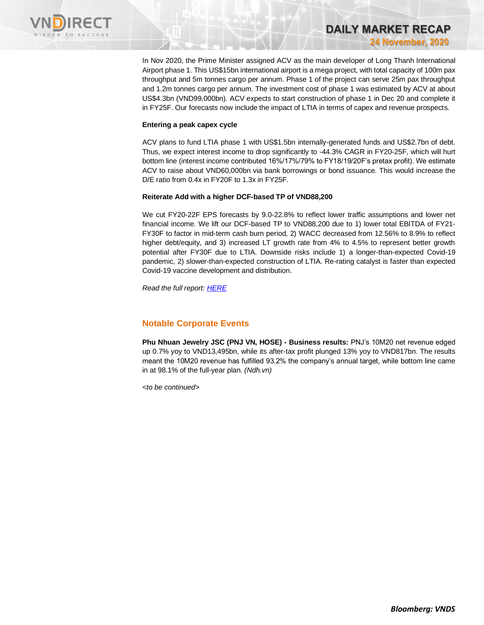

In Nov 2020, the Prime Minister assigned ACV as the main developer of Long Thanh International Airport phase 1. This US\$15bn international airport is a mega project, with total capacity of 100m pax throughput and 5m tonnes cargo per annum. Phase 1 of the project can serve 25m pax throughput and 1.2m tonnes cargo per annum. The investment cost of phase 1 was estimated by ACV at about US\$4.3bn (VND99,000bn). ACV expects to start construction of phase 1 in Dec 20 and complete it in FY25F. Our forecasts now include the impact of LTIA in terms of capex and revenue prospects.

**DAILY MARKET RECAP** 

**24 November, 2020**

### **Entering a peak capex cycle**

ACV plans to fund LTIA phase 1 with US\$1.5bn internally-generated funds and US\$2.7bn of debt. Thus, we expect interest income to drop significantly to -44.3% CAGR in FY20-25F, which will hurt bottom line (interest income contributed 16%/17%/79% to FY18/19/20F's pretax profit). We estimate ACV to raise about VND60,000bn via bank borrowings or bond issuance. This would increase the D/E ratio from 0.4x in FY20F to 1.3x in FY25F.

### **Reiterate Add with a higher DCF-based TP of VND88,200**

We cut FY20-22F EPS forecasts by 9.0-22.8% to reflect lower traffic assumptions and lower net financial income. We lift our DCF-based TP to VND88,200 due to 1) lower total EBITDA of FY21- FY30F to factor in mid-term cash burn period, 2) WACC decreased from 12.56% to 8.9% to reflect higher debt/equity, and 3) increased LT growth rate from 4% to 4.5% to represent better growth potential after FY30F due to LTIA. Downside risks include 1) a longer-than-expected Covid-19 pandemic, 2) slower-than-expected construction of LTIA. Re-rating catalyst is faster than expected Covid-19 vaccine development and distribution.

*Read the full report[: HERE](https://nhanha-public-api.vndirect.com.vn/click/OGE0ODlmZDA3NTYyMzU3MDAxNzU2MmUzNWNiMzEyMTE=/ZTZkZjE2NTAzYmZjNDE4ZjkzY2QyYjEwZTFmZDMwYTU=/e6df16503bfc418f93cd2b10e1fd30a5-ACV_Update_20201123.pdf/cmVzZWFyY2hAdm5kaXJlY3QuY29tLnZu/MjQ2Mzg=)*

# **Notable Corporate Events**

**Phu Nhuan Jewelry JSC (PNJ VN, HOSE) - Business results:** PNJ's 10M20 net revenue edged up 0.7% yoy to VND13,495bn, while its after-tax profit plunged 13% yoy to VND817bn. The results meant the 10M20 revenue has fulfilled 93.2% the company's annual target, while bottom line came in at 98.1% of the full-year plan. *(Ndh.vn)*

*<to be continued>*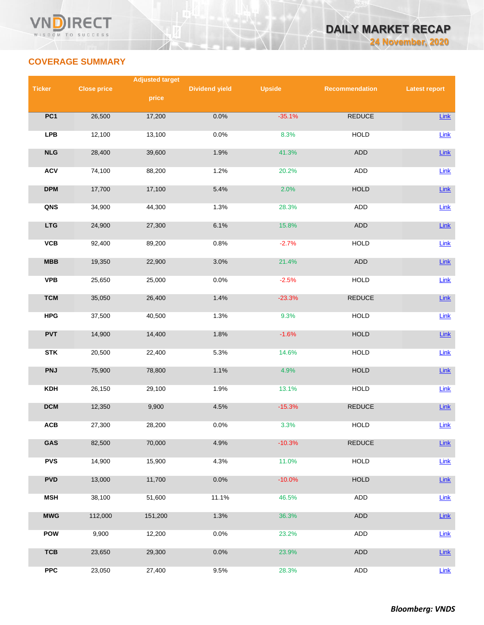

# **COVERAGE SUMMARY**

|                 |                    | <b>Adjusted target</b> |                       |               |                |                      |
|-----------------|--------------------|------------------------|-----------------------|---------------|----------------|----------------------|
| <b>Ticker</b>   | <b>Close price</b> |                        | <b>Dividend yield</b> | <b>Upside</b> | Recommendation | <b>Latest report</b> |
|                 |                    | price                  |                       |               |                |                      |
| PC <sub>1</sub> | 26,500             | 17,200                 | 0.0%                  | $-35.1%$      | REDUCE         | Link                 |
|                 |                    |                        |                       |               |                |                      |
| <b>LPB</b>      | 12,100             | 13,100                 | 0.0%                  | 8.3%          | <b>HOLD</b>    | Link                 |
|                 |                    |                        |                       |               |                |                      |
| NLG             | 28,400             | 39,600                 | 1.9%                  | 41.3%         | ADD            | Link                 |
| <b>ACV</b>      | 74,100             | 88,200                 | 1.2%                  | 20.2%         | <b>ADD</b>     | Link                 |
|                 |                    |                        |                       |               |                |                      |
| <b>DPM</b>      | 17,700             | 17,100                 | 5.4%                  | 2.0%          | <b>HOLD</b>    | Link                 |
| QNS             | 34,900             | 44,300                 | 1.3%                  | 28.3%         | ADD            | Link                 |
|                 |                    |                        |                       |               |                |                      |
| <b>LTG</b>      | 24,900             | 27,300                 | 6.1%                  | 15.8%         | ADD            | Link                 |
|                 |                    |                        |                       |               |                |                      |
| VCB             | 92,400             | 89,200                 | 0.8%                  | $-2.7%$       | <b>HOLD</b>    | Link                 |
| MBB             | 19,350             | 22,900                 | 3.0%                  | 21.4%         | ADD            | Link                 |
|                 |                    |                        |                       |               |                |                      |
| <b>VPB</b>      | 25,650             | 25,000                 | 0.0%                  | $-2.5%$       | <b>HOLD</b>    | Link                 |
| <b>TCM</b>      | 35,050             | 26,400                 | 1.4%                  | $-23.3%$      | <b>REDUCE</b>  | Link                 |
|                 |                    |                        |                       |               |                |                      |
| <b>HPG</b>      | 37,500             | 40,500                 | 1.3%                  | 9.3%          | <b>HOLD</b>    | Link                 |
|                 |                    |                        |                       |               |                |                      |
| <b>PVT</b>      | 14,900             | 14,400                 | 1.8%                  | $-1.6%$       | <b>HOLD</b>    | Link                 |
| <b>STK</b>      | 20,500             | 22,400                 | 5.3%                  | 14.6%         | <b>HOLD</b>    | Link                 |
|                 |                    |                        |                       |               |                |                      |
| <b>PNJ</b>      | 75,900             | 78,800                 | 1.1%                  | 4.9%          | <b>HOLD</b>    | Link                 |
| <b>KDH</b>      | 26,150             | 29,100                 | 1.9%                  | 13.1%         | <b>HOLD</b>    | Link                 |
|                 |                    |                        |                       |               |                |                      |
| <b>DCM</b>      | 12,350             | 9,900                  | 4.5%                  | $-15.3%$      | <b>REDUCE</b>  | Link                 |
|                 |                    |                        |                       |               |                |                      |
| ACB             | 27,300             | 28,200                 | 0.0%                  | 3.3%          | HOLD           | Link                 |
| GAS             | 82,500             | 70,000                 | 4.9%                  | $-10.3%$      | <b>REDUCE</b>  | <b>Link</b>          |
|                 |                    |                        |                       |               |                |                      |
| <b>PVS</b>      | 14,900             | 15,900                 | 4.3%                  | 11.0%         | <b>HOLD</b>    | Link                 |
| <b>PVD</b>      | 13,000             | 11,700                 | 0.0%                  | $-10.0%$      | <b>HOLD</b>    | Link                 |
|                 |                    |                        |                       |               |                |                      |
| <b>MSH</b>      | 38,100             | 51,600                 | 11.1%                 | 46.5%         | ADD            | Link                 |
|                 |                    |                        |                       |               |                |                      |
| <b>MWG</b>      | 112,000            | 151,200                | 1.3%                  | 36.3%         | ADD            | Link                 |
| <b>POW</b>      | 9,900              | 12,200                 | 0.0%                  | 23.2%         | ADD            | Link                 |
|                 |                    |                        |                       |               |                |                      |
| <b>TCB</b>      | 23,650             | 29,300                 | 0.0%                  | 23.9%         | ADD            | Link                 |
| ${\sf PPC}$     | 23,050             | 27,400                 | 9.5%                  |               | ADD            |                      |
|                 |                    |                        |                       | 28.3%         |                | Link                 |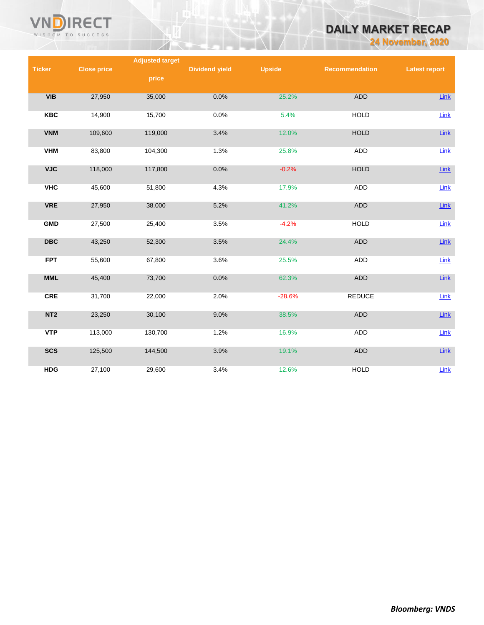

# **DAILY MARKET RECAP**

**24 November, 2020**

|                         |                    | <b>Adjusted target</b> |                       |               |                |                      |
|-------------------------|--------------------|------------------------|-----------------------|---------------|----------------|----------------------|
| <b>Ticker</b>           | <b>Close price</b> |                        | <b>Dividend yield</b> | <b>Upside</b> | Recommendation | <b>Latest report</b> |
|                         |                    | price                  |                       |               |                |                      |
|                         |                    |                        |                       |               |                |                      |
| VIB                     | 27,950             | 35,000                 | 0.0%                  | 25.2%         | <b>ADD</b>     | <b>Link</b>          |
|                         |                    |                        |                       |               |                |                      |
| <b>KBC</b>              | 14,900             | 15,700                 | 0.0%                  | 5.4%          | <b>HOLD</b>    | Link                 |
|                         |                    |                        |                       |               |                |                      |
| <b>VNM</b>              | 109,600            | 119,000                | 3.4%                  | 12.0%         | <b>HOLD</b>    | Link                 |
|                         |                    |                        |                       |               |                |                      |
| <b>VHM</b>              | 83,800             | 104,300                | 1.3%                  | 25.8%         | ADD            | Link                 |
|                         |                    |                        |                       |               |                |                      |
| <b>VJC</b>              | 118,000            | 117,800                | 0.0%                  | $-0.2%$       | <b>HOLD</b>    | <b>Link</b>          |
|                         |                    |                        |                       |               |                |                      |
| <b>VHC</b>              | 45,600             | 51,800                 | 4.3%                  | 17.9%         | ADD            | Link                 |
| <b>VRE</b>              | 27,950             | 38,000                 | 5.2%                  | 41.2%         | ADD            | Link                 |
|                         |                    |                        |                       |               |                |                      |
| <b>GMD</b>              | 27,500             | 25,400                 | 3.5%                  | $-4.2%$       | <b>HOLD</b>    | Link                 |
|                         |                    |                        |                       |               |                |                      |
| $\overline{\text{DBC}}$ | 43,250             | 52,300                 | 3.5%                  | 24.4%         | <b>ADD</b>     | Link                 |
|                         |                    |                        |                       |               |                |                      |
| <b>FPT</b>              | 55,600             | 67,800                 | 3.6%                  | 25.5%         | <b>ADD</b>     | Link                 |
|                         |                    |                        |                       |               |                |                      |
| <b>MML</b>              | 45,400             | 73,700                 | 0.0%                  | 62.3%         | ADD            | Link                 |
|                         |                    |                        |                       |               |                |                      |
| <b>CRE</b>              | 31,700             | 22,000                 | 2.0%                  | $-28.6%$      | <b>REDUCE</b>  | Link                 |
|                         |                    |                        |                       |               |                |                      |
| NT <sub>2</sub>         | 23,250             | 30,100                 | 9.0%                  | 38.5%         | ADD            | Link                 |
|                         |                    |                        |                       |               |                |                      |
| <b>VTP</b>              | 113,000            | 130,700                | 1.2%                  | 16.9%         | ADD            | <b>Link</b>          |
|                         |                    |                        |                       |               |                |                      |
| <b>SCS</b>              | 125,500            | 144,500                | 3.9%                  | 19.1%         | ADD            | Link                 |
|                         |                    |                        |                       |               |                |                      |
| <b>HDG</b>              | 27,100             | 29,600                 | 3.4%                  | 12.6%         | <b>HOLD</b>    | Link                 |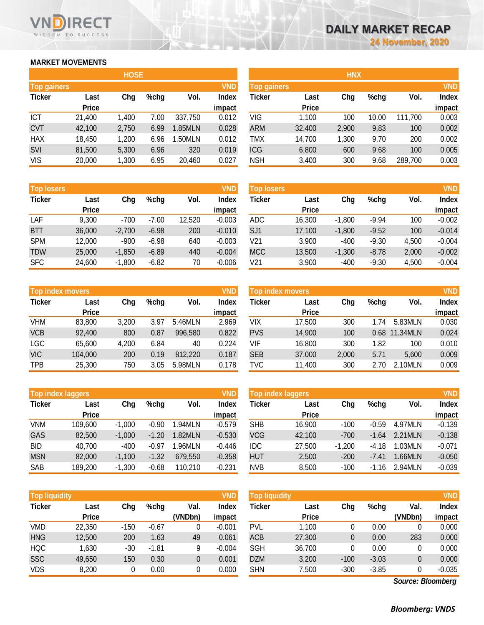# **MARKET MOVEMENTS**

WISDOM TO SUCCESS

ECT

|                    | <b>HOSE</b>  |       |      |         |              |  |  |  |
|--------------------|--------------|-------|------|---------|--------------|--|--|--|
| <b>Top gainers</b> |              |       |      |         | <b>VND</b>   |  |  |  |
| <b>Ticker</b>      | Last         | Chg   | %chg | Vol.    | <b>Index</b> |  |  |  |
|                    | <b>Price</b> |       |      |         | impact       |  |  |  |
| <b>ICT</b>         | 21,400       | 1,400 | 7.00 | 337,750 | 0.012        |  |  |  |
| <b>CVT</b>         | 42,100       | 2,750 | 6.99 | 1.85MLN | 0.028        |  |  |  |
| <b>HAX</b>         | 18,450       | 1,200 | 6.96 | 1.50MLN | 0.012        |  |  |  |
| <b>SVI</b>         | 81,500       | 5,300 | 6.96 | 320     | 0.019        |  |  |  |
| <b>VIS</b>         | 20,000       | 1,300 | 6.95 | 20,460  | 0.027        |  |  |  |

| <b>Top losers</b> |              |          |         |        | <b>VND</b>   |
|-------------------|--------------|----------|---------|--------|--------------|
| <b>Ticker</b>     | Last         | Chg      | %chg    | Vol.   | <b>Index</b> |
|                   | <b>Price</b> |          |         |        | impact       |
| LAF               | 9.300        | $-700$   | $-7.00$ | 12,520 | $-0.003$     |
| <b>BTT</b>        | 36,000       | $-2,700$ | $-6.98$ | 200    | $-0.010$     |
| <b>SPM</b>        | 12,000       | $-900$   | $-6.98$ | 640    | $-0.003$     |
| <b>TDW</b>        | 25,000       | $-1,850$ | $-6.89$ | 440    | $-0.004$     |
| <b>SFC</b>        | 24,600       | $-1,800$ | $-6.82$ | 70     | $-0.006$     |

|               | <b>Top index movers</b> |       |      |         |              |  |  |
|---------------|-------------------------|-------|------|---------|--------------|--|--|
| <b>Ticker</b> | Last                    | Chg   | %chg | Vol.    | <b>Index</b> |  |  |
|               | <b>Price</b>            |       |      |         | impact       |  |  |
| <b>VHM</b>    | 83,800                  | 3,200 | 3.97 | 5.46MLN | 2.969        |  |  |
| <b>VCB</b>    | 92,400                  | 800   | 0.87 | 996,580 | 0.822        |  |  |
| <b>LGC</b>    | 65,600                  | 4,200 | 6.84 | 40      | 0.224        |  |  |
| <b>VIC</b>    | 104,000                 | 200   | 0.19 | 812,220 | 0.187        |  |  |
| <b>TPB</b>    | 25,300                  | 750   | 3.05 | 5.98MLN | 0.178        |  |  |

| <b>Top index laggers</b> |              |          |         |         |              |  |  |
|--------------------------|--------------|----------|---------|---------|--------------|--|--|
| <b>Ticker</b>            | Last         | Chg      | $%$ chg | Vol.    | <b>Index</b> |  |  |
|                          | <b>Price</b> |          |         |         | impact       |  |  |
| <b>VNM</b>               | 109,600      | $-1,000$ | $-0.90$ | 1.94MLN | $-0.579$     |  |  |
| GAS                      | 82,500       | $-1,000$ | $-1.20$ | 1.82MLN | $-0.530$     |  |  |
| BID                      | 40,700       | $-400$   | $-0.97$ | 1.96MLN | $-0.446$     |  |  |
| <b>MSN</b>               | 82,000       | $-1,100$ | $-1.32$ | 679,550 | $-0.358$     |  |  |
| <b>SAB</b>               | 189,200      | $-1,300$ | $-0.68$ | 110,210 | $-0.231$     |  |  |

| <b>Top liquidity</b> |              |        |         |         | <b>VND</b>   |
|----------------------|--------------|--------|---------|---------|--------------|
| <b>Ticker</b>        | Last         | Chg    | $%$ chg | Val.    | <b>Index</b> |
|                      | <b>Price</b> |        |         | (VNDbn) | impact       |
| VMD                  | 22,350       | $-150$ | $-0.67$ | 0       | $-0.001$     |
| <b>HNG</b>           | 12,500       | 200    | 1.63    | 49      | 0.061        |
| <b>HQC</b>           | 1,630        | -30    | $-1.81$ | 9       | $-0.004$     |
| <b>SSC</b>           | 49,650       | 150    | 0.30    | 0       | 0.001        |
| VDS                  | 8,200        | 0      | 0.00    | 0       | 0.000        |

|                    |              | <b>HOSE</b> |         |         |            | <b>HNX</b>         |              |       |         |         |            |
|--------------------|--------------|-------------|---------|---------|------------|--------------------|--------------|-------|---------|---------|------------|
| <b>Top gainers</b> |              |             |         |         | <b>VND</b> | <b>Top gainers</b> |              |       |         |         | <b>VND</b> |
| <b>Ticker</b>      | Last         | Chg         | $%$ chg | Vol.    | Index      | Ticker             | Last         | Chg   | $%$ chg | Vol.    | Index      |
|                    | <b>Price</b> |             |         |         | impact     |                    | <b>Price</b> |       |         |         | impact     |
| <b>ICT</b>         | 21,400       | 1,400       | 7.00    | 337,750 | 0.012      | VIG                | 1,100        | 100   | 10.00   | 111,700 | 0.003      |
| <b>CVT</b>         | 42,100       | 2,750       | 6.99    | 1.85MLN | 0.028      | <b>ARM</b>         | 32,400       | 2,900 | 9.83    | 100     | 0.002      |
| <b>HAX</b>         | 18,450       | 1,200       | 6.96    | 1.50MLN | 0.012      | TMX                | 14,700       | 1,300 | 9.70    | 200     | 0.002      |
| <b>SVI</b>         | 81,500       | 5,300       | 6.96    | 320     | 0.019      | <b>ICG</b>         | 6,800        | 600   | 9.68    | 100     | 0.005      |
| <b>VIS</b>         | 20,000       | 1,300       | 6.95    | 20,460  | 0.027      | <b>NSH</b>         | 3,400        | 300   | 9.68    | 289,700 | 0.003      |
|                    |              |             |         |         |            |                    |              |       |         |         |            |

| VND<br><b>Top losers</b> |              |          |         |        |          | <b>Top losers</b> |              |          |         |       | <b>VND</b>   |
|--------------------------|--------------|----------|---------|--------|----------|-------------------|--------------|----------|---------|-------|--------------|
| <b>Ticker</b>            | Last         | Chg      | $%$ chg | Vol.   | Index    | Ticker            | Last         | Chg      | %chg    | Vol.  | <b>Index</b> |
|                          | <b>Price</b> |          |         |        | impact   |                   | <b>Price</b> |          |         |       | impact       |
| LAF                      | 9,300        | $-700$   | $-7.00$ | 12,520 | $-0.003$ | <b>ADC</b>        | 16,300       | $-1,800$ | $-9.94$ | 100   | $-0.002$     |
| <b>BTT</b>               | 36,000       | $-2,700$ | $-6.98$ | 200    | $-0.010$ | SJ <sub>1</sub>   | 17,100       | $-1,800$ | $-9.52$ | 100   | $-0.014$     |
| <b>SPM</b>               | 12,000       | $-900$   | $-6.98$ | 640    | $-0.003$ | V21               | 3,900        | $-400$   | $-9.30$ | 4,500 | $-0.004$     |
| <b>TDW</b>               | 25,000       | $-1,850$ | $-6.89$ | 440    | $-0.004$ | <b>MCC</b>        | 13,500       | $-1,300$ | $-8.78$ | 2,000 | $-0.002$     |
| <b>SFC</b>               | 24,600       | $-1,800$ | $-6.82$ | 70     | $-0.006$ | V21               | 3,900        | $-400$   | $-9.30$ | 4.500 | $-0.004$     |

|               | <b>Top index movers</b> |       |      |         | <b>VND</b> | <b>Top index movers</b> |              |       |      |          | <b>VND</b>   |
|---------------|-------------------------|-------|------|---------|------------|-------------------------|--------------|-------|------|----------|--------------|
| <b>Ticker</b> | Last                    | Chg   | %chg | Vol.    | Index      | Ticker                  | Last         | Chg   | %chg | Vol.     | <b>Index</b> |
|               | <b>Price</b>            |       |      |         | impact     |                         | <b>Price</b> |       |      |          | impact       |
| VHM           | 83,800                  | 3,200 | 3.97 | 5.46MLN | 2.969      | <b>VIX</b>              | 17,500       | 300   | 1.74 | 5.83MLN  | 0.030        |
| <b>VCB</b>    | 92,400                  | 800   | 0.87 | 996,580 | 0.822      | <b>PVS</b>              | 14,900       | 100   | 0.68 | 11.34MLN | 0.024        |
| LGC           | 65,600                  | 4,200 | 6.84 | 40      | 0.224      | VIF                     | 16,800       | 300   | 1.82 | 100      | 0.010        |
| <b>VIC</b>    | 104,000                 | 200   | 0.19 | 812,220 | 0.187      | <b>SEB</b>              | 37,000       | 2,000 | 5.71 | 5.600    | 0.009        |
| TPB           | 25,300                  | 750   | 3.05 | 5.98MLN | 0.178      | TVC                     | 11.400       | 300   | 2.70 | 2.10MLN  | 0.009        |

|            | Top index laggers |          |         |         | <b>VND</b>   | Top index laggers |              |          |         |         |              |
|------------|-------------------|----------|---------|---------|--------------|-------------------|--------------|----------|---------|---------|--------------|
| Ticker     | Last              | Chg      | %chg    | Vol.    | <b>Index</b> | Ticker            | Last         | Chg      | %chg    | Vol.    | <b>Index</b> |
|            | <b>Price</b>      |          |         |         | impact       |                   | <b>Price</b> |          |         |         | impact       |
| <b>VNM</b> | 109,600           | $-1,000$ | $-0.90$ | 1.94MLN | $-0.579$     | <b>SHB</b>        | 16,900       | $-100$   | $-0.59$ | 4.97MLN | $-0.139$     |
| GAS        | 82,500            | $-1,000$ | $-1.20$ | 1.82MLN | $-0.530$     | <b>VCG</b>        | 42,100       | $-700$   | $-1.64$ | 2.21MLN | $-0.138$     |
| <b>BID</b> | 40.700            | $-400$   | $-0.97$ | L96MLN  | $-0.446$     | <b>IDC</b>        | 27,500       | $-1,200$ | $-4.18$ | 1.03MLN | $-0.071$     |
| <b>MSN</b> | 82,000            | $-1.100$ | $-1.32$ | 679,550 | $-0.358$     | <b>HUT</b>        | 2,500        | $-200$   | $-7.41$ | 1.66MLN | $-0.050$     |
| SAB        | 189,200           | $-1,300$ | $-0.68$ | 110,210 | $-0.231$     | <b>NVB</b>        | 8.500        | $-100$   | $-1.16$ | 2.94MLN | $-0.039$     |

|               | <b>VND</b><br><b>Top liquidity</b> |      |         |         |          |            | <b>Top liquidity</b> |        |         |         |              |  |
|---------------|------------------------------------|------|---------|---------|----------|------------|----------------------|--------|---------|---------|--------------|--|
| <b>Ticker</b> | Last                               | Chg  | %chg    | Val.    | Index    | Ticker     | Last                 | Chg    | %chg    | Val.    | <b>Index</b> |  |
|               | <b>Price</b>                       |      |         | (VNDbn) | impact   |            | <b>Price</b>         |        |         | (VNDbn) | impact       |  |
| VMD           | 22,350                             | -150 | $-0.67$ |         | $-0.001$ | PVL        | 1,100                |        | 0.00    |         | 0.000        |  |
| <b>HNG</b>    | 12,500                             | 200  | 1.63    | 49      | 0.061    | <b>ACB</b> | 27,300               |        | 0.00    | 283     | 0.000        |  |
| HQC           | 1,630                              | -30  | $-1.81$ | 9       | $-0.004$ | SGH        | 36,700               |        | 0.00    |         | 0.000        |  |
| <b>SSC</b>    | 49,650                             | 150  | 0.30    | 0       | 0.001    | <b>DZM</b> | 3,200                | $-100$ | $-3.03$ | 0       | 0.000        |  |
| VDS           | 8,200                              |      | 0.00    |         | 0.000    | <b>SHN</b> | 7.500                | $-300$ | $-3.85$ |         | $-0.035$     |  |

*Source: Bloomberg*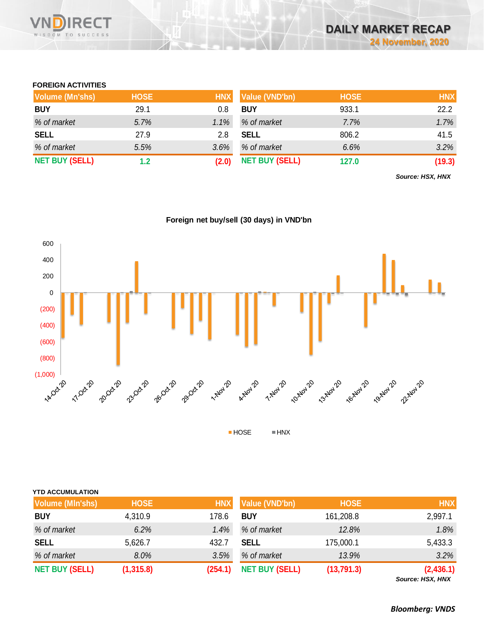

# **FOREIGN ACTIVITIES**

| <b>Volume (Mn'shs)</b> | <b>HOSE</b> | <b>HNX</b> | Value (VND'bn)        | <b>HOSE</b> | <b>HNX</b> |
|------------------------|-------------|------------|-----------------------|-------------|------------|
| <b>BUY</b>             | 29.1        | 0.8        | <b>BUY</b>            | 933.1       | 22.2       |
| % of market            | 5.7%        | 1.1%       | % of market           | 7.7%        | 1.7%       |
| <b>SELL</b>            | 27.9        | 2.8        | <b>SELL</b>           | 806.2       | 41.5       |
| % of market            | 5.5%        | 3.6%       | % of market           | 6.6%        | 3.2%       |
| <b>NET BUY (SELL)</b>  | 1.2         | (2.0)      | <b>NET BUY (SELL)</b> | 127.0       | (19.3)     |

*Source: HSX, HNX*

# **Foreign net buy/sell (30 days) in VND'bn**



| <b>Volume (MIn'shs)</b> | <b>HOSE</b> | <b>HNX</b> | Value (VND'bn)        | <b>HOSE</b> | <b>HNX</b> |
|-------------------------|-------------|------------|-----------------------|-------------|------------|
| <b>BUY</b>              | 4,310.9     | 178.6      | <b>BUY</b>            | 161,208.8   | 2,997.1    |
| % of market             | 6.2%        | 1.4%       | % of market           | 12.8%       | 1.8%       |
| <b>SELL</b>             | 5,626.7     | 432.7      | <b>SELL</b>           | 175,000.1   | 5,433.3    |
| % of market             | 8.0%        | 3.5%       | % of market           | 13.9%       | 3.2%       |
| <b>NET BUY (SELL)</b>   | (1, 315.8)  | (254.1)    | <b>NET BUY (SELL)</b> | (13,791.3)  | (2,436.1)  |

*Source: HSX, HNX*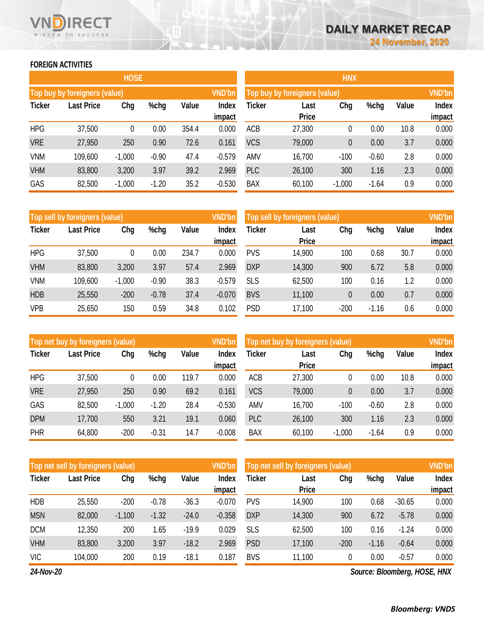# **FOREIGN ACTIVITIES**

WISDOM TO SUCCESS

RECT

|               |                               | <b>HOSE</b> |         |       |                        | <b>HNX</b>    |                               |              |         |       |                        |
|---------------|-------------------------------|-------------|---------|-------|------------------------|---------------|-------------------------------|--------------|---------|-------|------------------------|
|               | Top buy by foreigners (value) |             |         |       | <b>VND'bn</b>          |               | Top buy by foreigners (value) |              |         |       | <b>VND'bn</b>          |
| <b>Ticker</b> | <b>Last Price</b>             | Chg         | %chg    | Value | <b>Index</b><br>impact | <b>Ticker</b> | Last<br><b>Price</b>          | Chg          | %chg    | Value | <b>Index</b><br>impact |
| <b>HPG</b>    | 37,500                        | 0           | 0.00    | 354.4 | 0.000                  | <b>ACB</b>    | 27,300                        | 0            | 0.00    | 10.8  | 0.000                  |
| <b>VRE</b>    | 27,950                        | 250         | 0.90    | 72.6  | 0.161                  | <b>VCS</b>    | 79,000                        | $\mathbf{0}$ | 0.00    | 3.7   | 0.000                  |
| <b>VNM</b>    | 109,600                       | $-1,000$    | $-0.90$ | 47.4  | $-0.579$               | AMV           | 16,700                        | $-100$       | $-0.60$ | 2.8   | 0.000                  |
| <b>VHM</b>    | 83,800                        | 3,200       | 3.97    | 39.2  | 2.969                  | <b>PLC</b>    | 26,100                        | 300          | 1.16    | 2.3   | 0.000                  |
| GAS           | 82,500                        | $-1,000$    | $-1.20$ | 35.2  | $-0.530$               | <b>BAX</b>    | 60,100                        | $-1,000$     | $-1.64$ | 0.9   | 0.000                  |

|               | Top sell by foreigners (value) |          |         |       | <b>VND'bn</b> | Top sell by foreigners (value), |              |        |         |       |              |
|---------------|--------------------------------|----------|---------|-------|---------------|---------------------------------|--------------|--------|---------|-------|--------------|
| <b>Ticker</b> | <b>Last Price</b>              | Chg      | %chg    | Value | <b>Index</b>  | Ticker                          | Last         | Chg    | %chg    | Value | <b>Index</b> |
|               |                                |          |         |       | impact        |                                 | <b>Price</b> |        |         |       | impact       |
| <b>HPG</b>    | 37,500                         | 0        | 0.00    | 234.7 | 0.000         | <b>PVS</b>                      | 14,900       | 100    | 0.68    | 30.7  | 0.000        |
| <b>VHM</b>    | 83,800                         | 3,200    | 3.97    | 57.4  | 2.969         | <b>DXP</b>                      | 14,300       | 900    | 6.72    | 5.8   | 0.000        |
| VNM           | 109,600                        | $-1,000$ | $-0.90$ | 38.3  | $-0.579$      | <b>SLS</b>                      | 62,500       | 100    | 0.16    | 1.2   | 0.000        |
| <b>HDB</b>    | 25,550                         | $-200$   | $-0.78$ | 37.4  | $-0.070$      | <b>BVS</b>                      | 11,100       | 0      | 0.00    | 0.7   | 0.000        |
| <b>VPB</b>    | 25,650                         | 150      | 0.59    | 34.8  | 0.102         | <b>PSD</b>                      | 17,100       | $-200$ | $-1.16$ | 0.6   | 0.000        |

|               | Top net buy by foreigners (value) |          |         |       | <b>VND'bn</b>          | Top net buy by foreigners (value) |                      |          |         |       | <b>VND'bn</b>          |
|---------------|-----------------------------------|----------|---------|-------|------------------------|-----------------------------------|----------------------|----------|---------|-------|------------------------|
| <b>Ticker</b> | <b>Last Price</b>                 | Chg      | %chg    | Value | <b>Index</b><br>impact | Ticker                            | Last<br><b>Price</b> | Chg      | %chg    | Value | <b>Index</b><br>impact |
| <b>HPG</b>    | 37,500                            | 0        | 0.00    | 119.7 | 0.000                  | <b>ACB</b>                        | 27,300               | 0        | 0.00    | 10.8  | 0.000                  |
| <b>VRE</b>    | 27,950                            | 250      | 0.90    | 69.2  | 0.161                  | <b>VCS</b>                        | 79,000               | 0        | 0.00    | 3.7   | 0.000                  |
| GAS           | 82,500                            | $-1,000$ | $-1.20$ | 28.4  | $-0.530$               | AMV                               | 16,700               | $-100$   | $-0.60$ | 2.8   | 0.000                  |
| <b>DPM</b>    | 17,700                            | 550      | 3.21    | 19.1  | 0.060                  | <b>PLC</b>                        | 26,100               | 300      | 1.16    | 2.3   | 0.000                  |
| <b>PHR</b>    | 64,800                            | $-200$   | $-0.31$ | 14.7  | $-0.008$               | <b>BAX</b>                        | 60,100               | $-1,000$ | $-1.64$ | 0.9   | 0.000                  |

|               | <b>VND'bn</b><br>Top net sell by foreigners (value) |          |         |         |          |               | Top net sell by foreigners (value) |        |         |          |        |
|---------------|-----------------------------------------------------|----------|---------|---------|----------|---------------|------------------------------------|--------|---------|----------|--------|
| <b>Ticker</b> | <b>Last Price</b>                                   | Chg      | %chg    | Value   | Index    | <b>Ticker</b> | Last<br><b>Price</b>               | Chg    | %chg    | Value    | Index  |
|               |                                                     |          |         |         | impact   |               |                                    |        |         |          | impact |
| <b>HDB</b>    | 25,550                                              | $-200$   | $-0.78$ | $-36.3$ | $-0.070$ | <b>PVS</b>    | 14,900                             | 100    | 0.68    | $-30.65$ | 0.000  |
| <b>MSN</b>    | 82,000                                              | $-1,100$ | $-1.32$ | $-24.0$ | $-0.358$ | <b>DXP</b>    | 14,300                             | 900    | 6.72    | $-5.78$  | 0.000  |
| <b>DCM</b>    | 12,350                                              | 200      | 1.65    | $-19.9$ | 0.029    | <b>SLS</b>    | 62,500                             | 100    | 0.16    | $-1.24$  | 0.000  |
| <b>VHM</b>    | 83,800                                              | 3,200    | 3.97    | $-18.2$ | 2.969    | <b>PSD</b>    | 17,100                             | $-200$ | $-1.16$ | $-0.64$  | 0.000  |
| <b>VIC</b>    | 104,000                                             | 200      | 0.19    | $-18.1$ | 0.187    | <b>BVS</b>    | 11,100                             | 0      | 0.00    | $-0.57$  | 0.000  |

*24-Nov-20*

*Source: Bloomberg, HOSE, HNX*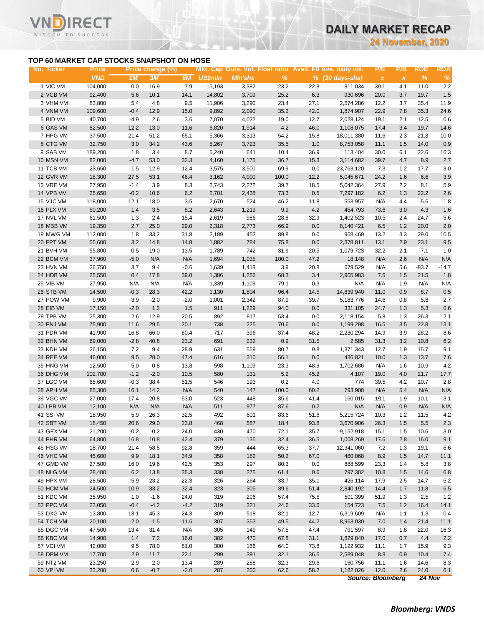**24 November, 2020**

### **TOP 60 MARKET CAP STOCKS SNAPSHOT ON HOSE**

RECT

WISDOM TO SUCCESS

VI

| No. Ticker | <b>Price</b> |        | Price change (%) |          |                |                |         |      | Mkt. Cap Outs. Vol. Float ratio Avail. Fll Ave. daily vol. | P/E                       | P/B          | <b>ROE</b> | <b>ROA</b> |
|------------|--------------|--------|------------------|----------|----------------|----------------|---------|------|------------------------------------------------------------|---------------------------|--------------|------------|------------|
|            | <b>VND</b>   | 1M     | 3M               | 6M       | <b>US\$mln</b> | <b>MIn'shs</b> | $\%$    |      | $\frac{9}{6}$ (30 days-shs)                                | $\boldsymbol{\mathsf{X}}$ | $\pmb{\chi}$ | $\%$       | %          |
| 1 VIC VM   | 104,000      | 0.0    | 16.9             | 7.9      | 15,193         | 3,382          | 23.2    | 22.8 | 811,034                                                    | 39.1                      | 4.1          | 11.0       | $2.2\,$    |
| 2 VCB VM   | 92,400       | 5.6    | 10.1             | 14.1     | 14,802         | 3,709          | 25.2    | 6.3  | 930,696                                                    | 20.0                      | 3.7          | 19.7       | 1.5        |
| 3 VHM VM   | 83,800       | 5.4    | 4.8              | 9.5      | 11,906         | 3,290          | 23.4    | 27.1 | 2,574,286                                                  | 12.2                      | 3.7          | 35.4       | 11.9       |
| 4 VNM VM   | 109,600      | $-0.4$ | 12.9             | 15.0     | 9,892          | 2,090          | 35.2    | 42.0 | 1,874,907                                                  | 22.9                      | 7.8          | 35.3       | 24.6       |
| 5 BID VM   | 40,700       | $-4.9$ | 2.6              | 3.6      | 7,070          | 4,022          | 19.0    | 12.7 | 2,028,124                                                  | 19.1                      | 2.1          | 12.5       | 0.6        |
| 6 GAS VM   | 82,500       | 12.2   | 13.0             | 11.6     | 6,820          | 1,914          | $4.2\,$ | 46.0 | 1,108,075                                                  | 17.4                      | 3.4          | 19.7       | 14.6       |
| 7 HPG VM   | 37,500       | 21.4   | 51.2             | 65.1     | 5,366          | 3,313          | 54.2    | 15.8 | 18,011,380                                                 | 11.6                      | 2.3          | 21.3       | 10.0       |
| 8 CTG VM   | 32,750       | 3.0    | 34.2             | 43.6     | 5,267          | 3,723          | 35.5    | 1.0  | 8,753,058                                                  | 11.1                      | 1.5          | 14.0       | 0.9        |
| 9 SAB VM   | 189,200      | 1.8    | 3.4              | 8.7      | 5,240          | 641            | 10.4    | 36.9 | 113,404                                                    | 30.0                      | 6.1          | 22.6       | 16.3       |
| 10 MSN VM  | 82,000       | $-4.7$ | 53.0             | 32.3     | 4,160          | 1,175          | 36.7    | 15.3 | 3,114,682                                                  | 39.7                      | 4.7          | 8.9        | $2.7\,$    |
| 11 TCB VM  | 23,650       | $-1.5$ | 12.9             | 12.4     | 3,575          | 3,500          | 69.9    | 0.0  | 23,763,120                                                 | 7.3                       | 1.2          | 17.7       | 3.0        |
| 12 GVR VM  | 18,300       | 27.5   | 53.1             | 46.4     | 3,162          | 4,000          | 100.0   | 12.2 | 5,045,671                                                  | 24.2                      | 1.6          | 6.6        | 3.9        |
| 13 VRE VM  | 27,950       | $-1.4$ | 3.9              | 8.3      | 2,743          | 2,272          | 39.7    | 18.5 | 5,042,364                                                  | 27.9                      | 2.2          | 8.1        | 5.9        |
| 14 VPB VM  | 25,650       | $-0.2$ | 10.6             | 6.2      | 2,701          | 2,438          | 73.3    | 0.5  | 7,297,182                                                  | 6.2                       | 1.3          | 22.2       | 2.6        |
| 15 VJC VM  | 118,000      | 12.1   | 18.0             | 3.5      | 2,670          | 524            | 46.2    | 11.8 | 553,957                                                    | N/A                       | 4.4          | $-5.6$     | $-1.8$     |
| 16 PLX VM  | 50,200       | 1.4    | 3.5              | $8.2\,$  | 2,643          | 1,219          | 9.9     | 4.2  | 454,793                                                    | 73.6                      | 3.0          | 4.3        | 1.6        |
| 17 NVL VM  | 61,500       | $-1.3$ | $-2.4$           | 15.4     | 2,619          | 986            | 28.8    | 32.9 | 1,402,523                                                  | 10.5                      | 2.4          | 24.7       | 5.6        |
| 18 MBB VM  | 19,350       | 2.7    | 25.0             | 29.0     | 2,318          | 2,773          | 66.9    | 0.0  | 8,140,421                                                  | 6.5                       | 1.2          | 20.0       | $2.0$      |
| 19 MWG VM  | 112,000      | 1.8    | 33.2             | 31.8     | 2,189          | 453            | 89.8    | 0.0  | 968,469                                                    | 13.2                      | 3.3          | 29.0       | 10.5       |
| 20 FPT VM  | 55,600       | 3.2    | 14.8             | 14.8     | 1,882          | 784            | 75.8    | 0.0  | 2,378,811                                                  | 13.1                      | 2.9          | 23.1       | 9.5        |
| 21 BVH VM  | 55,800       | 0.5    | 19.0             | 13.5     | 1,789          | 742            | 31.9    | 20.5 | 1,079,723                                                  | 32.2                      | 2.1          | 7.1        | 1.0        |
| 22 BCM VM  | 37,900       | $-5.0$ | N/A              | N/A      | 1,694          | 1,035          | 100.0   | 47.2 | 18,148                                                     | N/A                       | 2.6          | N/A        | N/A        |
| 23 HVN VM  | 26,750       | 3.7    | 9.4              | $-0.6$   | 1,639          | 1,418          | 3.9     | 20.8 | 679,529                                                    | N/A                       | 5.6          | $-83.7$    | $-14.7$    |
| 24 HDB VM  | 25,550       | 0.4    | 17.8             | 39.0     | 1,386          | 1,256          | 68.3    | 3.4  | 2,905,983                                                  | 7.5                       | 1.5          | 21.5       | 1.8        |
| 25 VIB VM  | 27,950       | N/A    | N/A              | N/A      | 1,339          | 1,109          | 79.1    | 0.3  | N/A                                                        | N/A                       | 1.9          | N/A        | N/A        |
| 26 STB VM  | 14,500       | $-0.3$ | 28.3             | 42.2     | 1,130          | 1,804          | 96.4    | 14.5 | 14,839,940                                                 | 11.0                      | 0.9          | 8.7        | 0.5        |
| 27 POW VM  | 9,900        | $-3.9$ | $-2.0$           | $-2.0$   | 1,001          | 2,342          | 87.9    | 39.7 | 5,183,776                                                  | 14.6                      | 0.8          | 5.8        | 2.7        |
| 28 EIB VM  | 17,150       | $-2.0$ | 1.2              | $1.5$    | 911            | 1,229          | 94.0    | 0.0  | 331,105                                                    | 24.7                      | 1.3          | 5.3        | 0.6        |
| 29 TPB VM  | 25,300       | 2.6    | 12.9             | $20.5\,$ | 892            | 817            | 53.4    | 0.0  | 2,118,154                                                  | 5.8                       | 1.3          | 26.3       | 2.1        |
| 30 PNJ VM  | 75,900       | 11.6   | 29.5             | 20.1     | 738            | 225            | 70.6    | 0.0  | 1,199,298                                                  | 16.5                      | 3.5          | 22.8       | 13.1       |
| 31 PDR VM  | 41,900       | 16.8   | 66.0             | 80.4     | 717            | 396            | 37.4    | 48.2 | 2,230,294                                                  | 14.9                      | 3.9          | 28.2       | 8.6        |
| 32 BHN VM  | 69,000       | $-2.8$ | 40.8             | 23.2     | 691            | 232            | 0.9     | 31.5 | 2,585                                                      | 31.3                      | 3.2          | 10.8       | 6.2        |
| 33 KDH VM  | 26,150       | 7.2    | 9.4              | 28.9     | 631            | 559            | 80.7    | 9.8  | 1,371,343                                                  | 12.7                      | 1.9          | 15.7       | 9.1        |
| 34 REE VM  | 46,000       | 9.5    | 28.0             | 47.4     | 616            | 310            | 56.1    | 0.0  | 436,821                                                    | 10.0                      | 1.3          | 13.7       | 7.6        |
| 35 HNG VM  | 12,500       | 5.0    | 0.8              | $-13.8$  | 598            | 1,109          | 23.3    | 48.9 | 1,702,686                                                  | N/A                       | 1.6          | $-10.9$    | $-4.2$     |
| 36 DHG VM  | 102,700      | $-1.2$ | $-2.0$           | 10.5     | 580            | 131            | 5.2     | 45.2 | 4,107                                                      | 19.0                      | 4.0          | 21.7       | 17.7       |
| 37 LGC VM  | 65,600       | $-0.3$ | 38.4             | 51.5     | 546            | 193            | $0.2\,$ | 4.0  | 774                                                        | 39.5                      | 4.2          | 10.7       | $2.8\,$    |
| 38 APH VM  | 85,300       | 16.1   | 14.2             | N/A      | 540            | 147            | 100.0   | 60.2 | 793,908                                                    | N/A                       | 5.4          | N/A        | N/A        |
| 39 VGC VM  | 27,000       | 17.4   | 20.8             | 53.0     | 523            | 448            | 35.6    | 41.4 | 160,015                                                    | 19.1                      | 1.9          | 10.1       | 3.1        |
| 40 LPB VM  | 12,100       | N/A    | N/A              | N/A      | 511            | 977            | 87.6    | 0.2  | N/A                                                        | N/A                       | 0.9          | N/A        | N/A        |
| 41 SSI VM  | 18,950       | 5.9    | 26.3             | 32.5     | 492            | 601            | 83.6    | 51.6 | 5,215,724                                                  | 10.3                      | 1.2          | 11.5       | 4.2        |
| 42 SBT VM  | 18,450       | 20.6   | 29.0             | 23.8     | 468            | 587            | 18.4    | 93.8 | 3,670,906                                                  | 26.3                      | 1.5          | 5.5        | 2.3        |
| 43 GEX VM  | 21,200       | $-0.2$ | $-0.2$           | 24.0     | 430            | 470            | 72.1    | 35.7 | 9,152,918                                                  | 15.1                      | 1.5          | 10.6       | 3.0        |
| 44 PHR VM  | 64,800       | 16.8   | 10.8             | 42.4     | 379            | 135            | 32.4    | 36.5 | 1,008,269                                                  | 17.6                      | 2.8          | 16.0       | 9.1        |
| 45 HSG VM  | 18,700       | 21.4   | 58.5             | 92.8     | 359            | 444            | 65.3    | 37.7 | 12,341,060                                                 | 7.2                       | 1.3          | 19.1       | 6.6        |
| 46 VHC VM  | 45,600       | 9.9    | 18.1             | 34.9     | 358            | 182            | 50.2    | 67.0 | 480,068                                                    | 8.9                       | 1.5          | 14.7       | 11.1       |
| 47 GMD VM  | 27,500       | 16.0   | 19.6             | 42.5     | 353            | 297            | 80.3    | 0.0  | 888,599                                                    | 23.3                      | 1.4          | 5.8        | 3.8        |
| 48 NLG VM  | 28,400       | 6.2    | 13.8             | 35.3     | 338            | 275            | 61.4    | 0.6  | 797,302                                                    | 10.8                      | 1.5          | 14.6       | 6.8        |
| 49 HPX VM  | 28,500       | 5.9    | 23.2             | 22.3     | 326            | 264            | 33.7    | 35.1 | 426,114                                                    | 17.9                      | 2.5          | 14.7       | 6.2        |
| 50 HCM VM  | 24,500       | 10.9   | 33.2             | 32.4     | 323            | 305            | 39.6    | 51.4 | 2,840,192                                                  | 14.4                      | 1.7          | 11.8       | 6.5        |
| 51 KDC VM  | 35,950       | 1.0    | $-1.6$           | 24.0     | 319            | 206            | 57.4    | 75.5 | 501,399                                                    | 51.9                      | 1.3          | 2.5        | 1.2        |
| 52 PPC VM  | 23,050       | $-0.4$ | $-4.2$           | $-4.2$   | 319            | 321            | 24.6    | 33.6 | 154,723                                                    | 7.5                       | 1.2          | 16.4       | 14.1       |
| 53 DXG VM  | 13,800       | 13.1   | 45.3             | 24.3     | 309            | 518            | 82.1    | 12.7 | 6,319,609                                                  | N/A                       | 1.1          | $-1.3$     | $-0.4$     |
| 54 TCH VM  | 20,100       | $-2.0$ | $-1.5$           | $-11.6$  | 307            | 353            | 49.5    | 44.2 | 8,963,030                                                  | 7.0                       | 1.4          | 21.4       | 11.1       |
| 55 DGC VM  | 47,500       | 13.4   | 31.4             | N/A      | 305            | 149            | 57.5    | 47.4 | 791,597                                                    | 8.9                       | 1.8          | 22.0       | 16.3       |
| 56 KBC VM  | 14,900       | 1.4    | 7.2              | 16.0     | 302            | 470            | 67.8    | 31.1 | 1,829,840                                                  | 17.0                      | 0.7          | 4.4        | 2.2        |
| 57 VCI VM  | 42,000       | 9.5    | 78.0             | 81.0     | 300            | 166            | 64.0    | 73.8 | 1,122,932                                                  | 11.1                      | 1.7          | 15.9       | 9.3        |
| 58 DPM VM  | 17,700       | 2.9    | 11.7             | 22.1     | 299            | 391            | 32.1    | 36.5 | 2,589,048                                                  | 8.8                       | 0.9          | 10.4       | 7.4        |
| 59 NT2 VM  | 23,250       | 2.9    | 2.0              | 13.4     | 289            | 288            | 32.3    | 29.6 | 160,756                                                    | 11.1                      | 1.6          | 14.6       | 8.3        |
| 60 VPI VM  | 33,200       | 0.6    | $-0.7$           | $-2.0$   | 287            | 200            | 62.6    | 58.2 | 1,182,026                                                  | 12.0                      | 2.6          | 24.0       | 6.1        |
|            |              |        |                  |          |                |                |         |      |                                                            |                           |              |            |            |

*Source: Bloomberg 24 Nov*